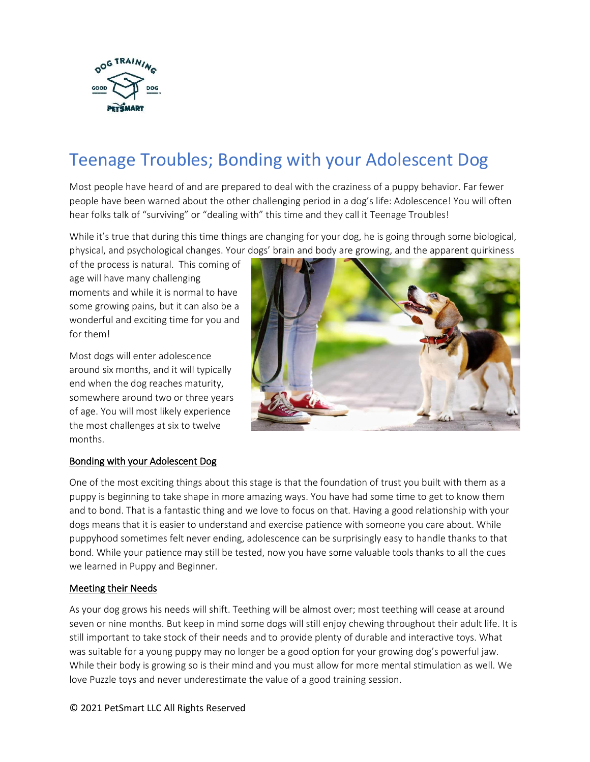

# Teenage Troubles; Bonding with your Adolescent Dog

Most people have heard of and are prepared to deal with the craziness of a puppy behavior. Far fewer people have been warned about the other challenging period in a dog's life: Adolescence! You will often hear folks talk of "surviving" or "dealing with" this time and they call it Teenage Troubles!

While it's true that during this time things are changing for your dog, he is going through some biological, physical, and psychological changes. Your dogs' brain and body are growing, and the apparent quirkiness

of the process is natural. This coming of age will have many challenging moments and while it is normal to have some growing pains, but it can also be a wonderful and exciting time for you and for them!

Most dogs will enter adolescence around six months, and it will typically end when the dog reaches maturity, somewhere around two or three years of age. You will most likely experience the most challenges at six to twelve months.



#### Bonding with your Adolescent Dog

One of the most exciting things about this stage is that the foundation of trust you built with them as a puppy is beginning to take shape in more amazing ways. You have had some time to get to know them and to bond. That is a fantastic thing and we love to focus on that. Having a good relationship with your dogs means that it is easier to understand and exercise patience with someone you care about. While puppyhood sometimes felt never ending, adolescence can be surprisingly easy to handle thanks to that bond. While your patience may still be tested, now you have some valuable tools thanks to all the cues we learned in Puppy and Beginner.

#### Meeting their Needs

As your dog grows his needs will shift. Teething will be almost over; most teething will cease at around seven or nine months. But keep in mind some dogs will still enjoy chewing throughout their adult life. It is still important to take stock of their needs and to provide plenty of durable and interactive toys. What was suitable for a young puppy may no longer be a good option for your growing dog's powerful jaw. While their body is growing so is their mind and you must allow for more mental stimulation as well. We love Puzzle toys and never underestimate the value of a good training session.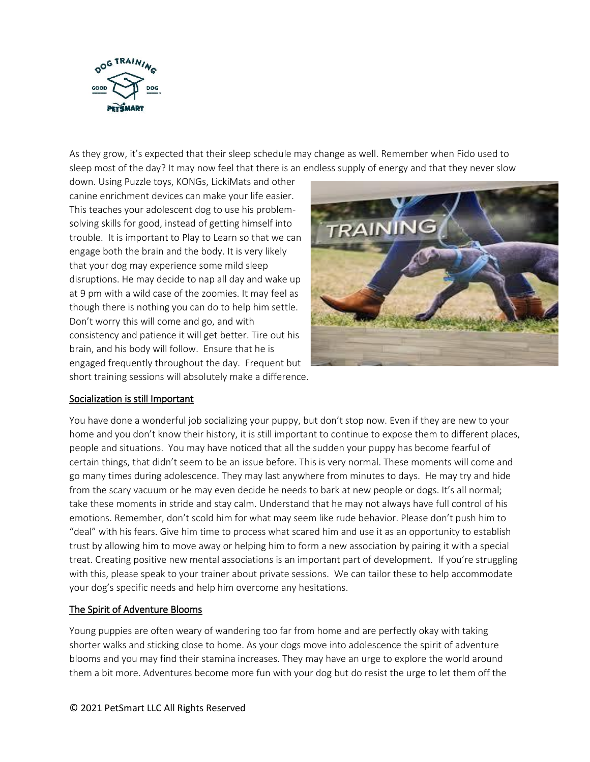

As they grow, it's expected that their sleep schedule may change as well. Remember when Fido used to sleep most of the day? It may now feel that there is an endless supply of energy and that they never slow

down. Using Puzzle toys, KONGs, LickiMats and other canine enrichment devices can make your life easier. This teaches your adolescent dog to use his problemsolving skills for good, instead of getting himself into trouble. It is important to Play to Learn so that we can engage both the brain and the body. It is very likely that your dog may experience some mild sleep disruptions. He may decide to nap all day and wake up at 9 pm with a wild case of the zoomies. It may feel as though there is nothing you can do to help him settle. Don't worry this will come and go, and with consistency and patience it will get better. Tire out his brain, and his body will follow. Ensure that he is engaged frequently throughout the day. Frequent but short training sessions will absolutely make a difference.



## Socialization is still Important

You have done a wonderful job socializing your puppy, but don't stop now. Even if they are new to your home and you don't know their history, it is still important to continue to expose them to different places, people and situations. You may have noticed that all the sudden your puppy has become fearful of certain things, that didn't seem to be an issue before. This is very normal. These moments will come and go many times during adolescence. They may last anywhere from minutes to days. He may try and hide from the scary vacuum or he may even decide he needs to bark at new people or dogs. It's all normal; take these moments in stride and stay calm. Understand that he may not always have full control of his emotions. Remember, don't scold him for what may seem like rude behavior. Please don't push him to "deal" with his fears. Give him time to process what scared him and use it as an opportunity to establish trust by allowing him to move away or helping him to form a new association by pairing it with a special treat. Creating positive new mental associations is an important part of development. If you're struggling with this, please speak to your trainer about private sessions. We can tailor these to help accommodate your dog's specific needs and help him overcome any hesitations.

## The Spirit of Adventure Blooms

Young puppies are often weary of wandering too far from home and are perfectly okay with taking shorter walks and sticking close to home. As your dogs move into adolescence the spirit of adventure blooms and you may find their stamina increases. They may have an urge to explore the world around them a bit more. Adventures become more fun with your dog but do resist the urge to let them off the